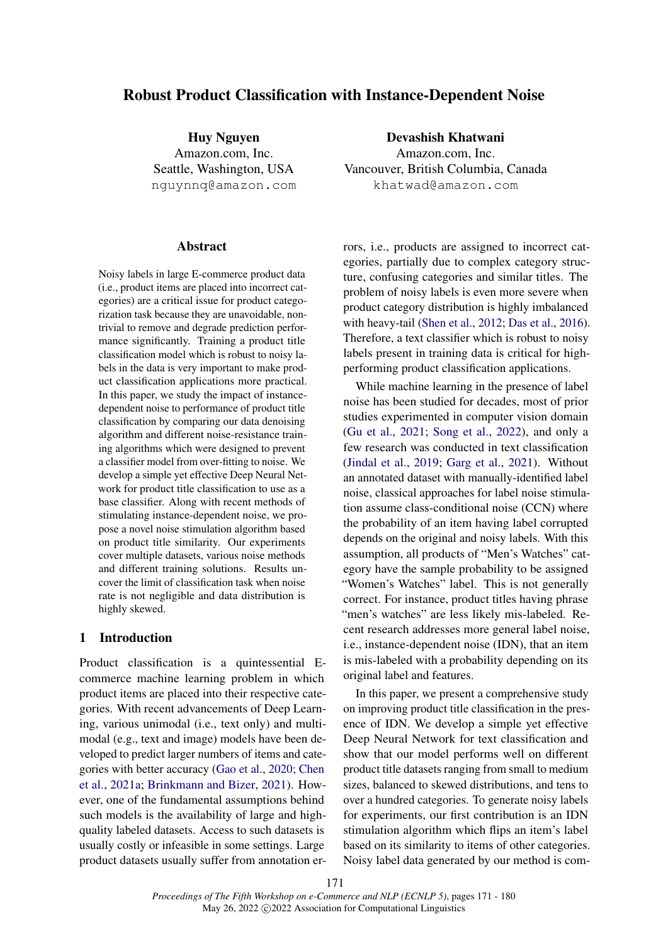# Robust Product Classification with Instance-Dependent Noise

Huy Nguyen Amazon.com, Inc. Seattle, Washington, USA nguynnq@amazon.com

#### **Abstract**

Noisy labels in large E-commerce product data (i.e., product items are placed into incorrect categories) are a critical issue for product categorization task because they are unavoidable, nontrivial to remove and degrade prediction performance significantly. Training a product title classification model which is robust to noisy labels in the data is very important to make product classification applications more practical. In this paper, we study the impact of instancedependent noise to performance of product title classification by comparing our data denoising algorithm and different noise-resistance training algorithms which were designed to prevent a classifier model from over-fitting to noise. We develop a simple yet effective Deep Neural Network for product title classification to use as a base classifier. Along with recent methods of stimulating instance-dependent noise, we propose a novel noise stimulation algorithm based on product title similarity. Our experiments cover multiple datasets, various noise methods and different training solutions. Results uncover the limit of classification task when noise rate is not negligible and data distribution is highly skewed.

## 1 Introduction

Product classification is a quintessential Ecommerce machine learning problem in which product items are placed into their respective categories. With recent advancements of Deep Learning, various unimodal (i.e., text only) and multimodal (e.g., text and image) models have been developed to predict larger numbers of items and categories with better accuracy [\(Gao et al.,](#page-8-0) [2020;](#page-8-0) [Chen](#page-7-0) [et al.,](#page-7-0) [2021a;](#page-7-0) [Brinkmann and Bizer,](#page-7-1) [2021\)](#page-7-1). However, one of the fundamental assumptions behind such models is the availability of large and highquality labeled datasets. Access to such datasets is usually costly or infeasible in some settings. Large product datasets usually suffer from annotation er-

Devashish Khatwani Amazon.com, Inc. Vancouver, British Columbia, Canada khatwad@amazon.com

rors, i.e., products are assigned to incorrect categories, partially due to complex category structure, confusing categories and similar titles. The problem of noisy labels is even more severe when product category distribution is highly imbalanced with heavy-tail [\(Shen et al.,](#page-9-0) [2012;](#page-9-0) [Das et al.,](#page-8-1) [2016\)](#page-8-1). Therefore, a text classifier which is robust to noisy labels present in training data is critical for highperforming product classification applications.

While machine learning in the presence of label noise has been studied for decades, most of prior studies experimented in computer vision domain [\(Gu et al.,](#page-8-2) [2021;](#page-8-2) [Song et al.,](#page-9-1) [2022\)](#page-9-1), and only a few research was conducted in text classification [\(Jindal et al.,](#page-8-3) [2019;](#page-8-3) [Garg et al.,](#page-8-4) [2021\)](#page-8-4). Without an annotated dataset with manually-identified label noise, classical approaches for label noise stimulation assume class-conditional noise (CCN) where the probability of an item having label corrupted depends on the original and noisy labels. With this assumption, all products of "Men's Watches" category have the sample probability to be assigned "Women's Watches" label. This is not generally correct. For instance, product titles having phrase "men's watches" are less likely mis-labeled. Recent research addresses more general label noise, i.e., instance-dependent noise (IDN), that an item is mis-labeled with a probability depending on its original label and features.

In this paper, we present a comprehensive study on improving product title classification in the presence of IDN. We develop a simple yet effective Deep Neural Network for text classification and show that our model performs well on different product title datasets ranging from small to medium sizes, balanced to skewed distributions, and tens to over a hundred categories. To generate noisy labels for experiments, our first contribution is an IDN stimulation algorithm which flips an item's label based on its similarity to items of other categories. Noisy label data generated by our method is com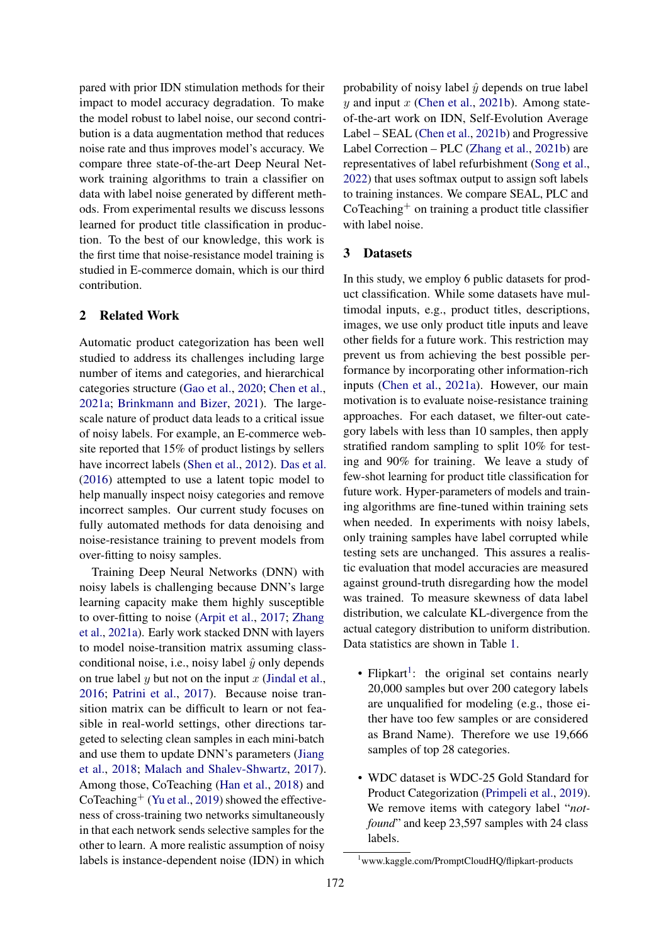pared with prior IDN stimulation methods for their impact to model accuracy degradation. To make the model robust to label noise, our second contribution is a data augmentation method that reduces noise rate and thus improves model's accuracy. We compare three state-of-the-art Deep Neural Network training algorithms to train a classifier on data with label noise generated by different methods. From experimental results we discuss lessons learned for product title classification in production. To the best of our knowledge, this work is the first time that noise-resistance model training is studied in E-commerce domain, which is our third contribution.

# 2 Related Work

Automatic product categorization has been well studied to address its challenges including large number of items and categories, and hierarchical categories structure [\(Gao et al.,](#page-8-0) [2020;](#page-8-0) [Chen et al.,](#page-7-0) [2021a;](#page-7-0) [Brinkmann and Bizer,](#page-7-1) [2021\)](#page-7-1). The largescale nature of product data leads to a critical issue of noisy labels. For example, an E-commerce website reported that 15% of product listings by sellers have incorrect labels [\(Shen et al.,](#page-9-0) [2012\)](#page-9-0). [Das et al.](#page-8-1) [\(2016\)](#page-8-1) attempted to use a latent topic model to help manually inspect noisy categories and remove incorrect samples. Our current study focuses on fully automated methods for data denoising and noise-resistance training to prevent models from over-fitting to noisy samples.

Training Deep Neural Networks (DNN) with noisy labels is challenging because DNN's large learning capacity make them highly susceptible to over-fitting to noise [\(Arpit et al.,](#page-7-2) [2017;](#page-7-2) [Zhang](#page-9-2) [et al.,](#page-9-2) [2021a\)](#page-9-2). Early work stacked DNN with layers to model noise-transition matrix assuming classconditional noise, i.e., noisy label  $\hat{y}$  only depends on true label y but not on the input x [\(Jindal et al.,](#page-8-5) [2016;](#page-8-5) [Patrini et al.,](#page-8-6) [2017\)](#page-8-6). Because noise transition matrix can be difficult to learn or not feasible in real-world settings, other directions targeted to selecting clean samples in each mini-batch and use them to update DNN's parameters [\(Jiang](#page-8-7) [et al.,](#page-8-7) [2018;](#page-8-7) [Malach and Shalev-Shwartz,](#page-8-8) [2017\)](#page-8-8). Among those, CoTeaching [\(Han et al.,](#page-8-9) [2018\)](#page-8-9) and CoTeaching<sup>+</sup> [\(Yu et al.,](#page-9-3) [2019\)](#page-9-3) showed the effectiveness of cross-training two networks simultaneously in that each network sends selective samples for the other to learn. A more realistic assumption of noisy labels is instance-dependent noise (IDN) in which

probability of noisy label  $\hat{y}$  depends on true label  $y$  and input  $x$  [\(Chen et al.,](#page-7-3) [2021b\)](#page-7-3). Among stateof-the-art work on IDN, Self-Evolution Average Label – SEAL [\(Chen et al.,](#page-7-3) [2021b\)](#page-7-3) and Progressive Label Correction – PLC [\(Zhang et al.,](#page-9-4) [2021b\)](#page-9-4) are representatives of label refurbishment [\(Song et al.,](#page-9-1) [2022\)](#page-9-1) that uses softmax output to assign soft labels to training instances. We compare SEAL, PLC and  $CoTeaching<sup>+</sup>$  on training a product title classifier with label noise.

#### 3 Datasets

In this study, we employ 6 public datasets for product classification. While some datasets have multimodal inputs, e.g., product titles, descriptions, images, we use only product title inputs and leave other fields for a future work. This restriction may prevent us from achieving the best possible performance by incorporating other information-rich inputs [\(Chen et al.,](#page-7-0) [2021a\)](#page-7-0). However, our main motivation is to evaluate noise-resistance training approaches. For each dataset, we filter-out category labels with less than 10 samples, then apply stratified random sampling to split 10% for testing and 90% for training. We leave a study of few-shot learning for product title classification for future work. Hyper-parameters of models and training algorithms are fine-tuned within training sets when needed. In experiments with noisy labels, only training samples have label corrupted while testing sets are unchanged. This assures a realistic evaluation that model accuracies are measured against ground-truth disregarding how the model was trained. To measure skewness of data label distribution, we calculate KL-divergence from the actual category distribution to uniform distribution. Data statistics are shown in Table [1.](#page-2-0)

- Flipkart<sup>[1](#page-1-0)</sup>: the original set contains nearly 20,000 samples but over 200 category labels are unqualified for modeling (e.g., those either have too few samples or are considered as Brand Name). Therefore we use 19,666 samples of top 28 categories.
- WDC dataset is WDC-25 Gold Standard for Product Categorization [\(Primpeli et al.,](#page-8-10) [2019\)](#page-8-10). We remove items with category label "*notfound*" and keep 23,597 samples with 24 class labels.

<span id="page-1-0"></span><sup>1</sup>www.kaggle.com/PromptCloudHQ/flipkart-products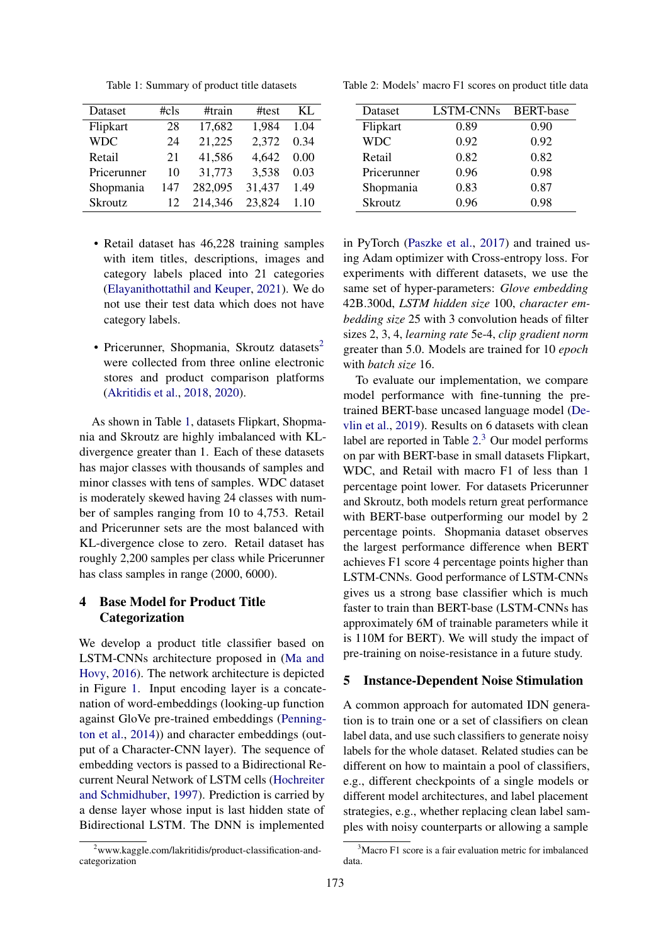<span id="page-2-0"></span>Table 1: Summary of product title datasets

| Dataset        | #cls | #train  | #test  | KL.  |
|----------------|------|---------|--------|------|
| Flipkart       | 28   | 17,682  | 1,984  | 1.04 |
| <b>WDC</b>     | 24   | 21,225  | 2,372  | 0.34 |
| Retail         | 21   | 41,586  | 4,642  | 0.00 |
| Pricerunner    | 10   | 31,773  | 3,538  | 0.03 |
| Shopmania      | 147  | 282,095 | 31,437 | 1.49 |
| <b>Skroutz</b> | 12   | 214,346 | 23,824 | 1.10 |

- Retail dataset has 46,228 training samples with item titles, descriptions, images and category labels placed into 21 categories [\(Elayanithottathil and Keuper,](#page-8-11) [2021\)](#page-8-11). We do not use their test data which does not have category labels.
- Pricerunner, Shopmania, Skroutz datasets<sup>[2](#page-2-1)</sup> were collected from three online electronic stores and product comparison platforms [\(Akritidis et al.,](#page-7-4) [2018,](#page-7-4) [2020\)](#page-7-5).

As shown in Table [1,](#page-2-0) datasets Flipkart, Shopmania and Skroutz are highly imbalanced with KLdivergence greater than 1. Each of these datasets has major classes with thousands of samples and minor classes with tens of samples. WDC dataset is moderately skewed having 24 classes with number of samples ranging from 10 to 4,753. Retail and Pricerunner sets are the most balanced with KL-divergence close to zero. Retail dataset has roughly 2,200 samples per class while Pricerunner has class samples in range (2000, 6000).

# 4 Base Model for Product Title Categorization

We develop a product title classifier based on LSTM-CNNs architecture proposed in [\(Ma and](#page-8-12) [Hovy,](#page-8-12) [2016\)](#page-8-12). The network architecture is depicted in Figure [1.](#page-3-0) Input encoding layer is a concatenation of word-embeddings (looking-up function against GloVe pre-trained embeddings [\(Penning](#page-8-13)[ton et al.,](#page-8-13) [2014\)](#page-8-13)) and character embeddings (output of a Character-CNN layer). The sequence of embedding vectors is passed to a Bidirectional Recurrent Neural Network of LSTM cells [\(Hochreiter](#page-8-14) [and Schmidhuber,](#page-8-14) [1997\)](#page-8-14). Prediction is carried by a dense layer whose input is last hidden state of Bidirectional LSTM. The DNN is implemented

<span id="page-2-2"></span>Table 2: Models' macro F1 scores on product title data

| Dataset        | <b>LSTM-CNNs</b> | <b>BERT-base</b> |
|----------------|------------------|------------------|
| Flipkart       | 0.89             | 0.90             |
| <b>WDC</b>     | 0.92             | 0.92             |
| Retail         | 0.82             | 0.82             |
| Pricerunner    | 0.96             | 0.98             |
| Shopmania      | 0.83             | 0.87             |
| <b>Skroutz</b> | 0.96             | 0.98             |

in PyTorch [\(Paszke et al.,](#page-8-15) [2017\)](#page-8-15) and trained using Adam optimizer with Cross-entropy loss. For experiments with different datasets, we use the same set of hyper-parameters: *Glove embedding* 42B.300d, *LSTM hidden size* 100, *character embedding size* 25 with 3 convolution heads of filter sizes 2, 3, 4, *learning rate* 5e-4, *clip gradient norm* greater than 5.0. Models are trained for 10 *epoch* with *batch size* 16.

To evaluate our implementation, we compare model performance with fine-tunning the pretrained BERT-base uncased language model [\(De](#page-8-16)[vlin et al.,](#page-8-16) [2019\)](#page-8-16). Results on 6 datasets with clean label are reported in Table  $2<sup>3</sup>$  $2<sup>3</sup>$  $2<sup>3</sup>$  Our model performs on par with BERT-base in small datasets Flipkart, WDC, and Retail with macro F1 of less than 1 percentage point lower. For datasets Pricerunner and Skroutz, both models return great performance with BERT-base outperforming our model by 2 percentage points. Shopmania dataset observes the largest performance difference when BERT achieves F1 score 4 percentage points higher than LSTM-CNNs. Good performance of LSTM-CNNs gives us a strong base classifier which is much faster to train than BERT-base (LSTM-CNNs has approximately 6M of trainable parameters while it is 110M for BERT). We will study the impact of pre-training on noise-resistance in a future study.

#### 5 Instance-Dependent Noise Stimulation

A common approach for automated IDN generation is to train one or a set of classifiers on clean label data, and use such classifiers to generate noisy labels for the whole dataset. Related studies can be different on how to maintain a pool of classifiers, e.g., different checkpoints of a single models or different model architectures, and label placement strategies, e.g., whether replacing clean label samples with noisy counterparts or allowing a sample

<span id="page-2-1"></span><sup>&</sup>lt;sup>2</sup>www.kaggle.com/lakritidis/product-classification-andcategorization

<span id="page-2-3"></span><sup>&</sup>lt;sup>3</sup>Macro F1 score is a fair evaluation metric for imbalanced data.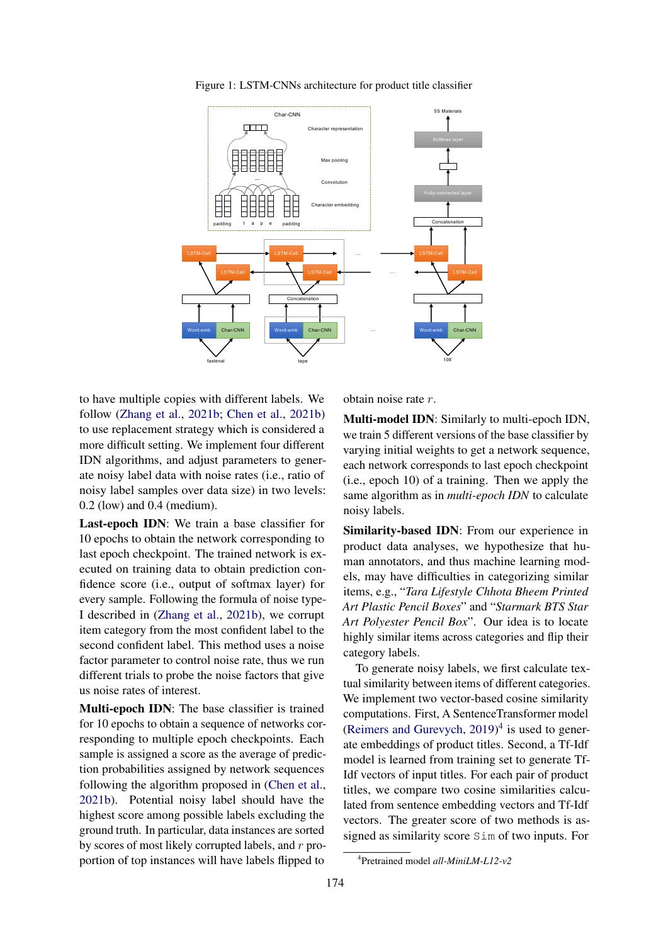<span id="page-3-0"></span>

Figure 1: LSTM-CNNs architecture for product title classifier

to have multiple copies with different labels. We follow [\(Zhang et al.,](#page-9-4) [2021b;](#page-9-4) [Chen et al.,](#page-7-3) [2021b\)](#page-7-3) to use replacement strategy which is considered a more difficult setting. We implement four different IDN algorithms, and adjust parameters to generate noisy label data with noise rates (i.e., ratio of noisy label samples over data size) in two levels: 0.2 (low) and 0.4 (medium).

Last-epoch IDN: We train a base classifier for 10 epochs to obtain the network corresponding to last epoch checkpoint. The trained network is executed on training data to obtain prediction confidence score (i.e., output of softmax layer) for every sample. Following the formula of noise type-I described in [\(Zhang et al.,](#page-9-4) [2021b\)](#page-9-4), we corrupt item category from the most confident label to the second confident label. This method uses a noise factor parameter to control noise rate, thus we run different trials to probe the noise factors that give us noise rates of interest.

Multi-epoch IDN: The base classifier is trained for 10 epochs to obtain a sequence of networks corresponding to multiple epoch checkpoints. Each sample is assigned a score as the average of prediction probabilities assigned by network sequences following the algorithm proposed in [\(Chen et al.,](#page-7-3) [2021b\)](#page-7-3). Potential noisy label should have the highest score among possible labels excluding the ground truth. In particular, data instances are sorted by scores of most likely corrupted labels, and r proportion of top instances will have labels flipped to

obtain noise rate r.

Multi-model IDN: Similarly to multi-epoch IDN, we train 5 different versions of the base classifier by varying initial weights to get a network sequence, each network corresponds to last epoch checkpoint (i.e., epoch 10) of a training. Then we apply the same algorithm as in *multi-epoch IDN* to calculate noisy labels.

Similarity-based IDN: From our experience in product data analyses, we hypothesize that human annotators, and thus machine learning models, may have difficulties in categorizing similar items, e.g., "*Tara Lifestyle Chhota Bheem Printed Art Plastic Pencil Boxes*" and "*Starmark BTS Star Art Polyester Pencil Box*". Our idea is to locate highly similar items across categories and flip their category labels.

To generate noisy labels, we first calculate textual similarity between items of different categories. We implement two vector-based cosine similarity computations. First, A SentenceTransformer model [\(Reimers and Gurevych,](#page-8-17)  $2019)^4$  $2019)^4$  $2019)^4$  is used to generate embeddings of product titles. Second, a Tf-Idf model is learned from training set to generate Tf-Idf vectors of input titles. For each pair of product titles, we compare two cosine similarities calculated from sentence embedding vectors and Tf-Idf vectors. The greater score of two methods is assigned as similarity score Sim of two inputs. For

<span id="page-3-1"></span><sup>4</sup> Pretrained model *all-MiniLM-L12-v2*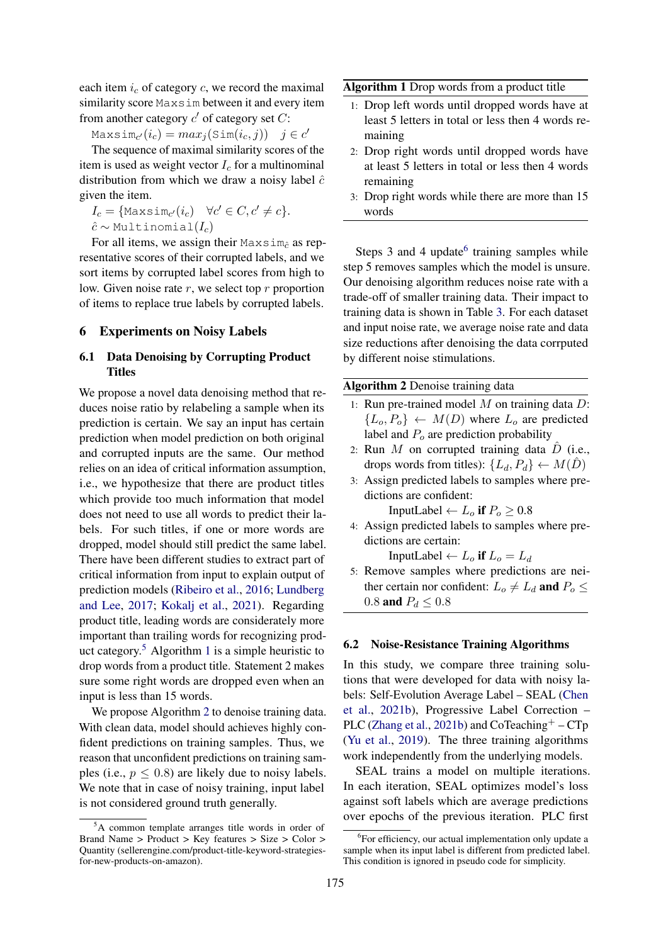each item  $i_c$  of category c, we record the maximal similarity score Maxsim between it and every item from another category  $c'$  of category set  $C$ :

 $\text{Maxsim}_{c'}(i_c) = max_j(\text{Sim}(i_c, j)) \quad j \in c'$ 

The sequence of maximal similarity scores of the item is used as weight vector  $I_c$  for a multinominal distribution from which we draw a noisy label  $\hat{c}$ given the item.

 $I_c = \{\text{Maxsim}_{c'}(i_c) \quad \forall c' \in C, c' \neq c\}.$  $\hat{c} \sim$  Multinomial $(I_c)$ 

For all items, we assign their Maxsim<sub>c</sub> as representative scores of their corrupted labels, and we sort items by corrupted label scores from high to low. Given noise rate  $r$ , we select top  $r$  proportion of items to replace true labels by corrupted labels.

#### 6 Experiments on Noisy Labels

# 6.1 Data Denoising by Corrupting Product Titles

We propose a novel data denoising method that reduces noise ratio by relabeling a sample when its prediction is certain. We say an input has certain prediction when model prediction on both original and corrupted inputs are the same. Our method relies on an idea of critical information assumption, i.e., we hypothesize that there are product titles which provide too much information that model does not need to use all words to predict their labels. For such titles, if one or more words are dropped, model should still predict the same label. There have been different studies to extract part of critical information from input to explain output of prediction models [\(Ribeiro et al.,](#page-8-18) [2016;](#page-8-18) [Lundberg](#page-8-19) [and Lee,](#page-8-19) [2017;](#page-8-19) [Kokalj et al.,](#page-8-20) [2021\)](#page-8-20). Regarding product title, leading words are considerately more important than trailing words for recognizing prod-uct category.<sup>[5](#page-4-0)</sup> Algorithm [1](#page-4-1) is a simple heuristic to drop words from a product title. Statement 2 makes sure some right words are dropped even when an input is less than 15 words.

We propose Algorithm [2](#page-4-2) to denoise training data. With clean data, model should achieves highly confident predictions on training samples. Thus, we reason that unconfident predictions on training samples (i.e.,  $p \leq 0.8$ ) are likely due to noisy labels. We note that in case of noisy training, input label is not considered ground truth generally.

<span id="page-4-1"></span>Algorithm 1 Drop words from a product title

- 1: Drop left words until dropped words have at least 5 letters in total or less then 4 words remaining
- 2: Drop right words until dropped words have at least 5 letters in total or less then 4 words remaining
- 3: Drop right words while there are more than 15 words

Steps 3 and 4 update $<sup>6</sup>$  $<sup>6</sup>$  $<sup>6</sup>$  training samples while</sup> step 5 removes samples which the model is unsure. Our denoising algorithm reduces noise rate with a trade-off of smaller training data. Their impact to training data is shown in Table [3.](#page-5-0) For each dataset and input noise rate, we average noise rate and data size reductions after denoising the data corrputed by different noise stimulations.

<span id="page-4-2"></span>Algorithm 2 Denoise training data

- 1: Run pre-trained model  $M$  on training data  $D$ :  ${L_o, P_o} \leftarrow M(D)$  where  $L_o$  are predicted label and  $P<sub>o</sub>$  are prediction probability
- 2: Run  $M$  on corrupted training data  $D$  (i.e., drops words from titles):  $\{L_d, P_d\} \leftarrow M(\hat{D})$
- 3: Assign predicted labels to samples where predictions are confident:

InputLabel  $\leftarrow L_0$  if  $P_0 \geq 0.8$ 

4: Assign predicted labels to samples where predictions are certain:

InputLabel  $\leftarrow L_o$  if  $L_o = L_d$ 

5: Remove samples where predictions are neither certain nor confident:  $L_o \neq L_d$  and  $P_o \leq$ 0.8 **and**  $P_d \le 0.8$ 

#### 6.2 Noise-Resistance Training Algorithms

In this study, we compare three training solutions that were developed for data with noisy labels: Self-Evolution Average Label – SEAL [\(Chen](#page-7-3) [et al.,](#page-7-3) [2021b\)](#page-7-3), Progressive Label Correction – PLC [\(Zhang et al.,](#page-9-4) [2021b\)](#page-9-4) and  $\text{CoTeaching}^+ - \text{CTp}$ [\(Yu et al.,](#page-9-3) [2019\)](#page-9-3). The three training algorithms work independently from the underlying models.

SEAL trains a model on multiple iterations. In each iteration, SEAL optimizes model's loss against soft labels which are average predictions over epochs of the previous iteration. PLC first

<span id="page-4-0"></span><sup>5</sup>A common template arranges title words in order of Brand Name > Product > Key features > Size > Color > Quantity (sellerengine.com/product-title-keyword-strategiesfor-new-products-on-amazon).

<span id="page-4-3"></span><sup>&</sup>lt;sup>6</sup>For efficiency, our actual implementation only update a sample when its input label is different from predicted label. This condition is ignored in pseudo code for simplicity.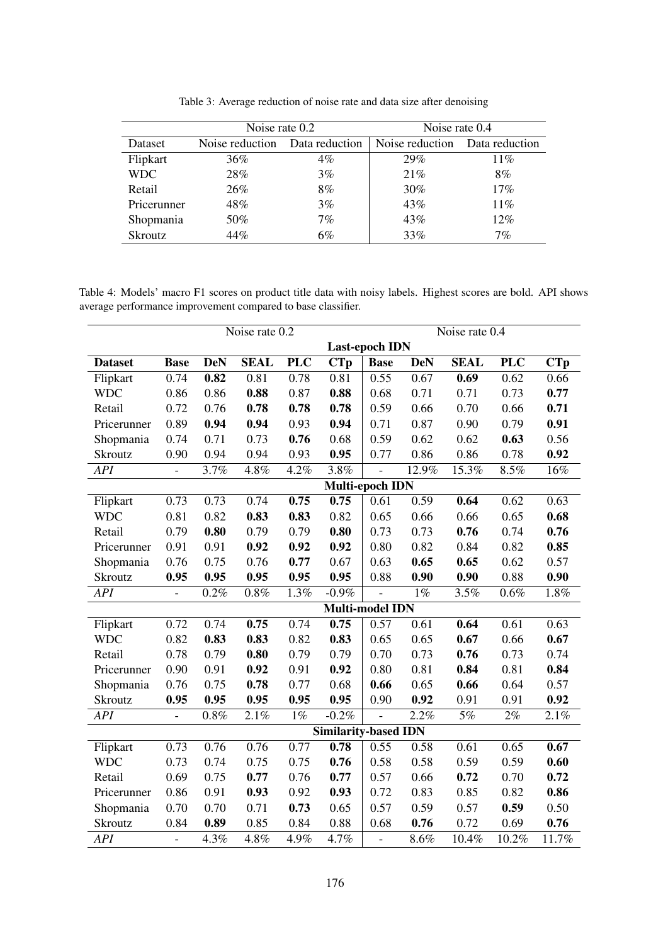<span id="page-5-0"></span>

|                | Noise rate 0.2                 |       | Noise rate 0.4                 |       |  |
|----------------|--------------------------------|-------|--------------------------------|-------|--|
| Dataset        | Noise reduction Data reduction |       | Noise reduction Data reduction |       |  |
| Flipkart       | 36%                            | $4\%$ | 29%                            | 11%   |  |
| <b>WDC</b>     | 28%                            | $3\%$ | 21%                            | 8%    |  |
| Retail         | 26%                            | 8%    | $30\%$                         | 17%   |  |
| Pricerunner    | 48%                            | $3\%$ | 43%                            | 11%   |  |
| Shopmania      | 50%                            | $7\%$ | 43%                            | 12%   |  |
| <b>Skroutz</b> | 44%                            | 6%    | 33%                            | $7\%$ |  |

Table 3: Average reduction of noise rate and data size after denoising

<span id="page-5-1"></span>Table 4: Models' macro F1 scores on product title data with noisy labels. Highest scores are bold. API shows average performance improvement compared to base classifier.

|                | Noise rate 0.2        |            |             |            |                             | Noise rate 0.4 |            |             |            |                            |
|----------------|-----------------------|------------|-------------|------------|-----------------------------|----------------|------------|-------------|------------|----------------------------|
|                | <b>Last-epoch IDN</b> |            |             |            |                             |                |            |             |            |                            |
| <b>Dataset</b> | <b>Base</b>           | <b>DeN</b> | <b>SEAL</b> | <b>PLC</b> | <b>CTp</b>                  | <b>Base</b>    | <b>DeN</b> | <b>SEAL</b> | <b>PLC</b> | $\overline{\mathbf{C}}$ Tp |
| Flipkart       | 0.74                  | 0.82       | 0.81        | 0.78       | 0.81                        | 0.55           | 0.67       | 0.69        | 0.62       | 0.66                       |
| <b>WDC</b>     | 0.86                  | 0.86       | 0.88        | 0.87       | 0.88                        | 0.68           | 0.71       | 0.71        | 0.73       | 0.77                       |
| Retail         | 0.72                  | 0.76       | 0.78        | 0.78       | 0.78                        | 0.59           | 0.66       | 0.70        | 0.66       | 0.71                       |
| Pricerunner    | 0.89                  | 0.94       | 0.94        | 0.93       | 0.94                        | 0.71           | 0.87       | 0.90        | 0.79       | 0.91                       |
| Shopmania      | 0.74                  | 0.71       | 0.73        | 0.76       | 0.68                        | 0.59           | 0.62       | 0.62        | 0.63       | 0.56                       |
| <b>Skroutz</b> | 0.90                  | 0.94       | 0.94        | 0.93       | 0.95                        | 0.77           | 0.86       | 0.86        | 0.78       | 0.92                       |
| API            | $\overline{a}$        | 3.7%       | 4.8%        | 4.2%       | 3.8%                        | $\overline{a}$ | 12.9%      | 15.3%       | 8.5%       | $16\%$                     |
|                |                       |            |             |            | Multi-epoch IDN             |                |            |             |            |                            |
| Flipkart       | 0.73                  | 0.73       | 0.74        | 0.75       | 0.75                        | 0.61           | 0.59       | 0.64        | 0.62       | 0.63                       |
| <b>WDC</b>     | 0.81                  | 0.82       | 0.83        | 0.83       | 0.82                        | 0.65           | 0.66       | 0.66        | 0.65       | 0.68                       |
| Retail         | 0.79                  | 0.80       | 0.79        | 0.79       | 0.80                        | 0.73           | 0.73       | 0.76        | 0.74       | 0.76                       |
| Pricerunner    | 0.91                  | 0.91       | 0.92        | 0.92       | 0.92                        | 0.80           | 0.82       | 0.84        | 0.82       | 0.85                       |
| Shopmania      | 0.76                  | 0.75       | 0.76        | 0.77       | 0.67                        | 0.63           | 0.65       | 0.65        | 0.62       | 0.57                       |
| Skroutz        | 0.95                  | 0.95       | 0.95        | 0.95       | 0.95                        | 0.88           | 0.90       | 0.90        | 0.88       | 0.90                       |
| <b>API</b>     | $\blacksquare$        | 0.2%       | $0.8\%$     | 1.3%       | $-0.9\%$                    | $\frac{1}{2}$  | $1\%$      | 3.5%        | $0.6\%$    | 1.8%                       |
|                |                       |            |             |            | Multi-model IDN             |                |            |             |            |                            |
| Flipkart       | 0.72                  | 0.74       | 0.75        | 0.74       | 0.75                        | 0.57           | 0.61       | 0.64        | 0.61       | 0.63                       |
| <b>WDC</b>     | 0.82                  | 0.83       | 0.83        | 0.82       | 0.83                        | 0.65           | 0.65       | 0.67        | 0.66       | 0.67                       |
| Retail         | 0.78                  | 0.79       | 0.80        | 0.79       | 0.79                        | 0.70           | 0.73       | 0.76        | 0.73       | 0.74                       |
| Pricerunner    | 0.90                  | 0.91       | 0.92        | 0.91       | 0.92                        | 0.80           | 0.81       | 0.84        | 0.81       | 0.84                       |
| Shopmania      | 0.76                  | 0.75       | 0.78        | 0.77       | 0.68                        | 0.66           | 0.65       | 0.66        | 0.64       | 0.57                       |
| Skroutz        | 0.95                  | 0.95       | 0.95        | 0.95       | 0.95                        | 0.90           | 0.92       | 0.91        | 0.91       | 0.92                       |
| <b>API</b>     | $\frac{1}{2}$         | 0.8%       | 2.1%        | $1\%$      | $-0.2%$                     | $\frac{1}{2}$  | 2.2%       | 5%          | 2%         | 2.1%                       |
|                |                       |            |             |            | <b>Similarity-based IDN</b> |                |            |             |            |                            |
| Flipkart       | 0.73                  | 0.76       | 0.76        | 0.77       | 0.78                        | 0.55           | 0.58       | 0.61        | 0.65       | 0.67                       |
| <b>WDC</b>     | 0.73                  | 0.74       | 0.75        | 0.75       | 0.76                        | 0.58           | 0.58       | 0.59        | 0.59       | 0.60                       |
| Retail         | 0.69                  | 0.75       | 0.77        | 0.76       | 0.77                        | 0.57           | 0.66       | 0.72        | 0.70       | 0.72                       |
| Pricerunner    | 0.86                  | 0.91       | 0.93        | 0.92       | 0.93                        | 0.72           | 0.83       | 0.85        | 0.82       | 0.86                       |
| Shopmania      | 0.70                  | 0.70       | 0.71        | 0.73       | 0.65                        | 0.57           | 0.59       | 0.57        | 0.59       | 0.50                       |
| Skroutz        | 0.84                  | 0.89       | 0.85        | 0.84       | 0.88                        | 0.68           | 0.76       | 0.72        | 0.69       | 0.76                       |
| <b>API</b>     | $\frac{1}{2}$         | 4.3%       | 4.8%        | 4.9%       | 4.7%                        | $\overline{a}$ | 8.6%       | 10.4%       | 10.2%      | 11.7%                      |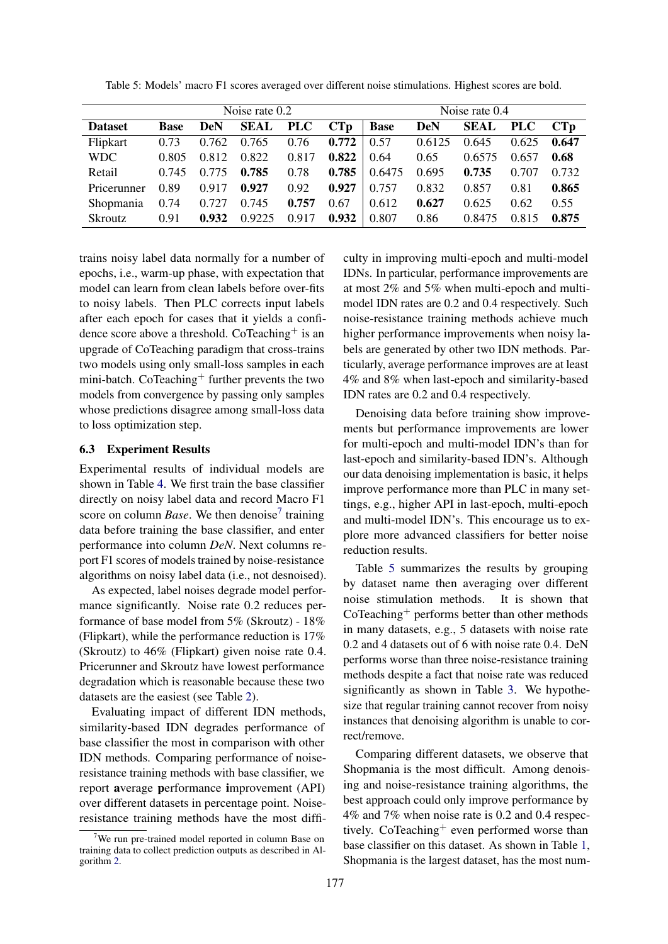|                  | Noise rate 0.2 |            |        |            | Noise rate 0.4 |             |            |             |            |       |
|------------------|----------------|------------|--------|------------|----------------|-------------|------------|-------------|------------|-------|
| <b>Dataset</b>   | <b>Base</b>    | <b>DeN</b> | SEAL   | <b>PLC</b> | CTp            | <b>Base</b> | <b>DeN</b> | <b>SEAL</b> | <b>PLC</b> | CTp   |
| Flipkart         | 0.73           | 0.762      | 0.765  | 0.76       | 0.772          | 0.57        | 0.6125     | 0.645       | 0.625      | 0.647 |
| <b>WDC</b>       | 0.805          | 0.812      | 0.822  | 0.817      | 0.822          | 0.64        | 0.65       | 0.6575      | 0.657      | 0.68  |
| Retail           | 0.745          | 0.775      | 0.785  | 0.78       | 0.785          | 0.6475      | 0.695      | 0.735       | 0.707      | 0.732 |
| Pricerunner      | 0.89           | 0.917      | 0.927  | 0.92       | 0.927          | 0.757       | 0.832      | 0.857       | 0.81       | 0.865 |
| <b>Shopmania</b> | 0.74           | 0.727      | 0.745  | 0.757      | 0.67           | 0.612       | 0.627      | 0.625       | 0.62       | 0.55  |
| <b>Skroutz</b>   | 0.91           | 0.932      | 0.9225 | 0.917      | 0.932          | 0.807       | 0.86       | 0.8475      | 0.815      | 0.875 |

<span id="page-6-1"></span>Table 5: Models' macro F1 scores averaged over different noise stimulations. Highest scores are bold.

trains noisy label data normally for a number of epochs, i.e., warm-up phase, with expectation that model can learn from clean labels before over-fits to noisy labels. Then PLC corrects input labels after each epoch for cases that it yields a confidence score above a threshold. CoTeaching<sup>+</sup> is an upgrade of CoTeaching paradigm that cross-trains two models using only small-loss samples in each mini-batch. CoTeaching<sup>+</sup> further prevents the two models from convergence by passing only samples whose predictions disagree among small-loss data to loss optimization step.

#### 6.3 Experiment Results

Experimental results of individual models are shown in Table [4.](#page-5-1) We first train the base classifier directly on noisy label data and record Macro F1 score on column *Base*. We then denoise<sup>[7](#page-6-0)</sup> training data before training the base classifier, and enter performance into column *DeN*. Next columns report F1 scores of models trained by noise-resistance algorithms on noisy label data (i.e., not desnoised).

As expected, label noises degrade model performance significantly. Noise rate 0.2 reduces performance of base model from 5% (Skroutz) - 18% (Flipkart), while the performance reduction is 17% (Skroutz) to 46% (Flipkart) given noise rate 0.4. Pricerunner and Skroutz have lowest performance degradation which is reasonable because these two datasets are the easiest (see Table [2\)](#page-2-2).

Evaluating impact of different IDN methods, similarity-based IDN degrades performance of base classifier the most in comparison with other IDN methods. Comparing performance of noiseresistance training methods with base classifier, we report average performance improvement (API) over different datasets in percentage point. Noiseresistance training methods have the most difficulty in improving multi-epoch and multi-model IDNs. In particular, performance improvements are at most 2% and 5% when multi-epoch and multimodel IDN rates are 0.2 and 0.4 respectively. Such noise-resistance training methods achieve much higher performance improvements when noisy labels are generated by other two IDN methods. Particularly, average performance improves are at least 4% and 8% when last-epoch and similarity-based IDN rates are 0.2 and 0.4 respectively.

Denoising data before training show improvements but performance improvements are lower for multi-epoch and multi-model IDN's than for last-epoch and similarity-based IDN's. Although our data denoising implementation is basic, it helps improve performance more than PLC in many settings, e.g., higher API in last-epoch, multi-epoch and multi-model IDN's. This encourage us to explore more advanced classifiers for better noise reduction results.

Table [5](#page-6-1) summarizes the results by grouping by dataset name then averaging over different noise stimulation methods. It is shown that  $CoTeaching<sup>+</sup> performs better than other methods$ in many datasets, e.g., 5 datasets with noise rate 0.2 and 4 datasets out of 6 with noise rate 0.4. DeN performs worse than three noise-resistance training methods despite a fact that noise rate was reduced significantly as shown in Table [3.](#page-5-0) We hypothesize that regular training cannot recover from noisy instances that denoising algorithm is unable to correct/remove.

Comparing different datasets, we observe that Shopmania is the most difficult. Among denoising and noise-resistance training algorithms, the best approach could only improve performance by 4% and 7% when noise rate is 0.2 and 0.4 respectively. CoTeaching<sup>+</sup> even performed worse than base classifier on this dataset. As shown in Table [1,](#page-2-0) Shopmania is the largest dataset, has the most num-

<span id="page-6-0"></span><sup>&</sup>lt;sup>7</sup>We run pre-trained model reported in column Base on training data to collect prediction outputs as described in Algorithm [2.](#page-4-2)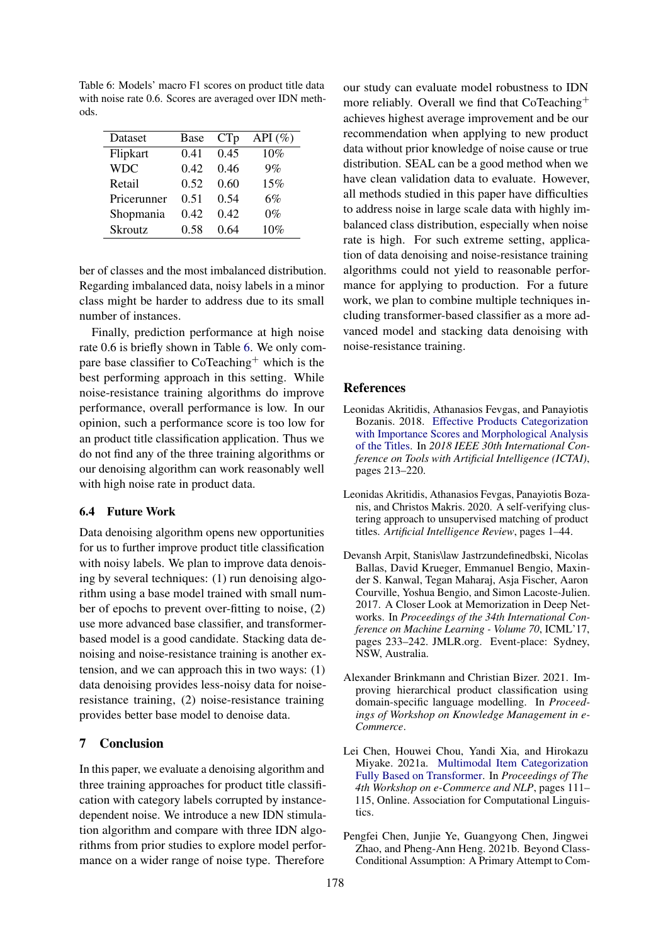<span id="page-7-6"></span>Table 6: Models' macro F1 scores on product title data with noise rate 0.6. Scores are averaged over IDN methods.

| Dataset        | Base | CTp  | API $(\% )$ |
|----------------|------|------|-------------|
| Flipkart       | 0.41 | 0.45 | 10%         |
| <b>WDC</b>     | 0.42 | 0.46 | 9%          |
| Retail         | 0.52 | 0.60 | 15%         |
| Pricerunner    | 0.51 | 0.54 | 6%          |
| Shopmania      | 0.42 | 0.42 | $0\%$       |
| <b>Skroutz</b> | 0.58 | 0.64 | $10\%$      |

ber of classes and the most imbalanced distribution. Regarding imbalanced data, noisy labels in a minor class might be harder to address due to its small number of instances.

Finally, prediction performance at high noise rate 0.6 is briefly shown in Table [6.](#page-7-6) We only compare base classifier to  $\text{CoTeaching}^+$  which is the best performing approach in this setting. While noise-resistance training algorithms do improve performance, overall performance is low. In our opinion, such a performance score is too low for an product title classification application. Thus we do not find any of the three training algorithms or our denoising algorithm can work reasonably well with high noise rate in product data.

# 6.4 Future Work

Data denoising algorithm opens new opportunities for us to further improve product title classification with noisy labels. We plan to improve data denoising by several techniques: (1) run denoising algorithm using a base model trained with small number of epochs to prevent over-fitting to noise, (2) use more advanced base classifier, and transformerbased model is a good candidate. Stacking data denoising and noise-resistance training is another extension, and we can approach this in two ways: (1) data denoising provides less-noisy data for noiseresistance training, (2) noise-resistance training provides better base model to denoise data.

# 7 Conclusion

In this paper, we evaluate a denoising algorithm and three training approaches for product title classification with category labels corrupted by instancedependent noise. We introduce a new IDN stimulation algorithm and compare with three IDN algorithms from prior studies to explore model performance on a wider range of noise type. Therefore

our study can evaluate model robustness to IDN more reliably. Overall we find that CoTeaching<sup>+</sup> achieves highest average improvement and be our recommendation when applying to new product data without prior knowledge of noise cause or true distribution. SEAL can be a good method when we have clean validation data to evaluate. However, all methods studied in this paper have difficulties to address noise in large scale data with highly imbalanced class distribution, especially when noise rate is high. For such extreme setting, application of data denoising and noise-resistance training algorithms could not yield to reasonable performance for applying to production. For a future work, we plan to combine multiple techniques including transformer-based classifier as a more advanced model and stacking data denoising with noise-resistance training.

#### References

- <span id="page-7-4"></span>Leonidas Akritidis, Athanasios Fevgas, and Panayiotis Bozanis. 2018. [Effective Products Categorization](https://doi.org/10.1109/ICTAI.2018.00041) [with Importance Scores and Morphological Analysis](https://doi.org/10.1109/ICTAI.2018.00041) [of the Titles.](https://doi.org/10.1109/ICTAI.2018.00041) In *2018 IEEE 30th International Conference on Tools with Artificial Intelligence (ICTAI)*, pages 213–220.
- <span id="page-7-5"></span>Leonidas Akritidis, Athanasios Fevgas, Panayiotis Bozanis, and Christos Makris. 2020. A self-verifying clustering approach to unsupervised matching of product titles. *Artificial Intelligence Review*, pages 1–44.
- <span id="page-7-2"></span>Devansh Arpit, Stanis\law Jastrzundefinedbski, Nicolas Ballas, David Krueger, Emmanuel Bengio, Maxinder S. Kanwal, Tegan Maharaj, Asja Fischer, Aaron Courville, Yoshua Bengio, and Simon Lacoste-Julien. 2017. A Closer Look at Memorization in Deep Networks. In *Proceedings of the 34th International Conference on Machine Learning - Volume 70*, ICML'17, pages 233–242. JMLR.org. Event-place: Sydney, NSW, Australia.
- <span id="page-7-1"></span>Alexander Brinkmann and Christian Bizer. 2021. Improving hierarchical product classification using domain-specific language modelling. In *Proceedings of Workshop on Knowledge Management in e-Commerce*.
- <span id="page-7-0"></span>Lei Chen, Houwei Chou, Yandi Xia, and Hirokazu Miyake. 2021a. [Multimodal Item Categorization](https://doi.org/10.18653/v1/2021.ecnlp-1.13) [Fully Based on Transformer.](https://doi.org/10.18653/v1/2021.ecnlp-1.13) In *Proceedings of The 4th Workshop on e-Commerce and NLP*, pages 111– 115, Online. Association for Computational Linguistics.
- <span id="page-7-3"></span>Pengfei Chen, Junjie Ye, Guangyong Chen, Jingwei Zhao, and Pheng-Ann Heng. 2021b. Beyond Class-Conditional Assumption: A Primary Attempt to Com-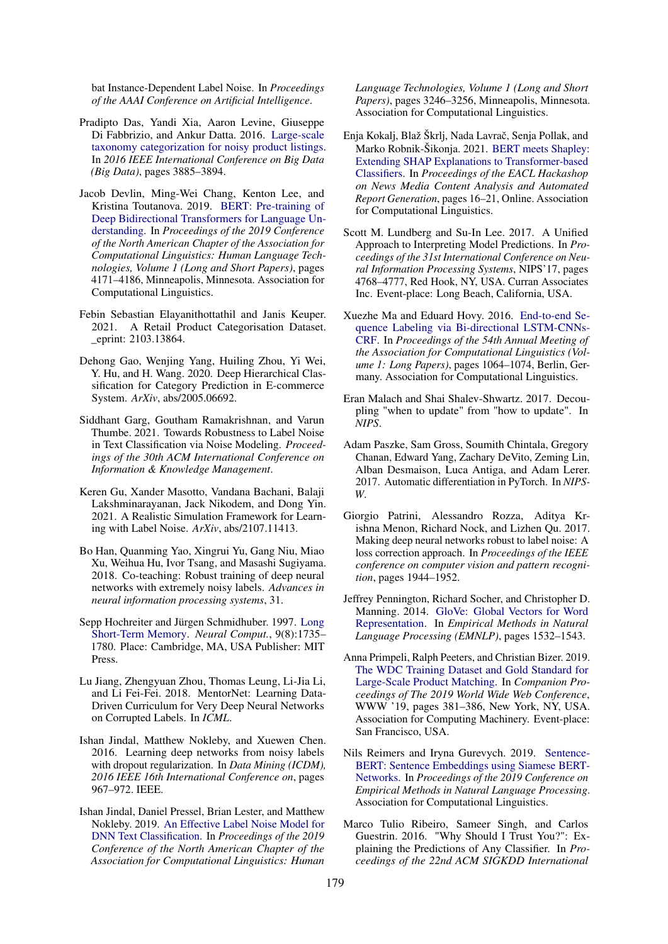bat Instance-Dependent Label Noise. In *Proceedings of the AAAI Conference on Artificial Intelligence*.

- <span id="page-8-1"></span>Pradipto Das, Yandi Xia, Aaron Levine, Giuseppe Di Fabbrizio, and Ankur Datta. 2016. [Large-scale](https://doi.org/10.1109/BigData.2016.7841063) [taxonomy categorization for noisy product listings.](https://doi.org/10.1109/BigData.2016.7841063) In *2016 IEEE International Conference on Big Data (Big Data)*, pages 3885–3894.
- <span id="page-8-16"></span>Jacob Devlin, Ming-Wei Chang, Kenton Lee, and Kristina Toutanova. 2019. [BERT: Pre-training of](https://doi.org/10.18653/v1/N19-1423) [Deep Bidirectional Transformers for Language Un](https://doi.org/10.18653/v1/N19-1423)[derstanding.](https://doi.org/10.18653/v1/N19-1423) In *Proceedings of the 2019 Conference of the North American Chapter of the Association for Computational Linguistics: Human Language Technologies, Volume 1 (Long and Short Papers)*, pages 4171–4186, Minneapolis, Minnesota. Association for Computational Linguistics.
- <span id="page-8-11"></span>Febin Sebastian Elayanithottathil and Janis Keuper. 2021. A Retail Product Categorisation Dataset. \_eprint: 2103.13864.
- <span id="page-8-0"></span>Dehong Gao, Wenjing Yang, Huiling Zhou, Yi Wei, Y. Hu, and H. Wang. 2020. Deep Hierarchical Classification for Category Prediction in E-commerce System. *ArXiv*, abs/2005.06692.
- <span id="page-8-4"></span>Siddhant Garg, Goutham Ramakrishnan, and Varun Thumbe. 2021. Towards Robustness to Label Noise in Text Classification via Noise Modeling. *Proceedings of the 30th ACM International Conference on Information & Knowledge Management*.
- <span id="page-8-2"></span>Keren Gu, Xander Masotto, Vandana Bachani, Balaji Lakshminarayanan, Jack Nikodem, and Dong Yin. 2021. A Realistic Simulation Framework for Learning with Label Noise. *ArXiv*, abs/2107.11413.
- <span id="page-8-9"></span>Bo Han, Quanming Yao, Xingrui Yu, Gang Niu, Miao Xu, Weihua Hu, Ivor Tsang, and Masashi Sugiyama. 2018. Co-teaching: Robust training of deep neural networks with extremely noisy labels. *Advances in neural information processing systems*, 31.
- <span id="page-8-14"></span>Sepp Hochreiter and Jürgen Schmidhuber. 1997. [Long](https://doi.org/10.1162/neco.1997.9.8.1735) [Short-Term Memory.](https://doi.org/10.1162/neco.1997.9.8.1735) *Neural Comput.*, 9(8):1735– 1780. Place: Cambridge, MA, USA Publisher: MIT Press.
- <span id="page-8-7"></span>Lu Jiang, Zhengyuan Zhou, Thomas Leung, Li-Jia Li, and Li Fei-Fei. 2018. MentorNet: Learning Data-Driven Curriculum for Very Deep Neural Networks on Corrupted Labels. In *ICML*.
- <span id="page-8-5"></span>Ishan Jindal, Matthew Nokleby, and Xuewen Chen. 2016. Learning deep networks from noisy labels with dropout regularization. In *Data Mining (ICDM), 2016 IEEE 16th International Conference on*, pages 967–972. IEEE.
- <span id="page-8-3"></span>Ishan Jindal, Daniel Pressel, Brian Lester, and Matthew Nokleby. 2019. [An Effective Label Noise Model for](https://doi.org/10.18653/v1/N19-1328) [DNN Text Classification.](https://doi.org/10.18653/v1/N19-1328) In *Proceedings of the 2019 Conference of the North American Chapter of the Association for Computational Linguistics: Human*

*Language Technologies, Volume 1 (Long and Short Papers)*, pages 3246–3256, Minneapolis, Minnesota. Association for Computational Linguistics.

- <span id="page-8-20"></span>Enja Kokalj, Blaž Škrlj, Nada Lavrač, Senja Pollak, and Marko Robnik-Šikonja. 2021. [BERT meets Shapley:](https://aclanthology.org/2021.hackashop-1.3) [Extending SHAP Explanations to Transformer-based](https://aclanthology.org/2021.hackashop-1.3) [Classifiers.](https://aclanthology.org/2021.hackashop-1.3) In *Proceedings of the EACL Hackashop on News Media Content Analysis and Automated Report Generation*, pages 16–21, Online. Association for Computational Linguistics.
- <span id="page-8-19"></span>Scott M. Lundberg and Su-In Lee. 2017. A Unified Approach to Interpreting Model Predictions. In *Proceedings of the 31st International Conference on Neural Information Processing Systems*, NIPS'17, pages 4768–4777, Red Hook, NY, USA. Curran Associates Inc. Event-place: Long Beach, California, USA.
- <span id="page-8-12"></span>Xuezhe Ma and Eduard Hovy. 2016. [End-to-end Se](https://doi.org/10.18653/v1/P16-1101)[quence Labeling via Bi-directional LSTM-CNNs-](https://doi.org/10.18653/v1/P16-1101)[CRF.](https://doi.org/10.18653/v1/P16-1101) In *Proceedings of the 54th Annual Meeting of the Association for Computational Linguistics (Volume 1: Long Papers)*, pages 1064–1074, Berlin, Germany. Association for Computational Linguistics.
- <span id="page-8-8"></span>Eran Malach and Shai Shalev-Shwartz. 2017. Decoupling "when to update" from "how to update". In *NIPS*.
- <span id="page-8-15"></span>Adam Paszke, Sam Gross, Soumith Chintala, Gregory Chanan, Edward Yang, Zachary DeVito, Zeming Lin, Alban Desmaison, Luca Antiga, and Adam Lerer. 2017. Automatic differentiation in PyTorch. In *NIPS-W*.
- <span id="page-8-6"></span>Giorgio Patrini, Alessandro Rozza, Aditya Krishna Menon, Richard Nock, and Lizhen Qu. 2017. Making deep neural networks robust to label noise: A loss correction approach. In *Proceedings of the IEEE conference on computer vision and pattern recognition*, pages 1944–1952.
- <span id="page-8-13"></span>Jeffrey Pennington, Richard Socher, and Christopher D. Manning. 2014. [GloVe: Global Vectors for Word](http://www.aclweb.org/anthology/D14-1162) [Representation.](http://www.aclweb.org/anthology/D14-1162) In *Empirical Methods in Natural Language Processing (EMNLP)*, pages 1532–1543.
- <span id="page-8-10"></span>Anna Primpeli, Ralph Peeters, and Christian Bizer. 2019. [The WDC Training Dataset and Gold Standard for](https://doi.org/10.1145/3308560.3316609) [Large-Scale Product Matching.](https://doi.org/10.1145/3308560.3316609) In *Companion Proceedings of The 2019 World Wide Web Conference*, WWW '19, pages 381–386, New York, NY, USA. Association for Computing Machinery. Event-place: San Francisco, USA.
- <span id="page-8-17"></span>Nils Reimers and Iryna Gurevych. 2019. [Sentence-](https://arxiv.org/abs/1908.10084)[BERT: Sentence Embeddings using Siamese BERT-](https://arxiv.org/abs/1908.10084)[Networks.](https://arxiv.org/abs/1908.10084) In *Proceedings of the 2019 Conference on Empirical Methods in Natural Language Processing*. Association for Computational Linguistics.
- <span id="page-8-18"></span>Marco Tulio Ribeiro, Sameer Singh, and Carlos Guestrin. 2016. "Why Should I Trust You?": Explaining the Predictions of Any Classifier. In *Proceedings of the 22nd ACM SIGKDD International*